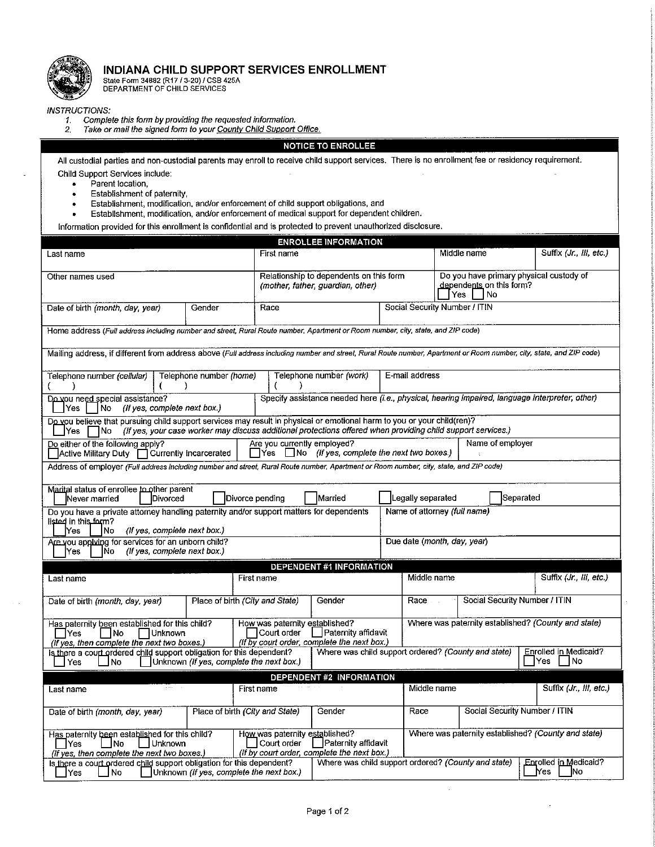

#### INDIANA CHILD SUPPORT SERVICES ENROLLMENT

State Form 34882 (R17 / 3-20) / CSB 425A<br>DEPARTMENT OF CHILD SERVICES

**INSTRUCTIONS:** 

 $\bullet$ 

- 1.
- Complete this form by providing the requested information.<br>Take or mail the signed form to your County Child Support Office.  $2<sub>1</sub>$

#### NOTICE TO ENROLLEE

All custodial parties and non-custodial parents may enroll to receive child support services. There is no enrollment fee or residency requirement. Child Support Services include:

- Parent location,
- Establishment of paternity,  $\bullet$
- Establishment, modification, and/or enforcement of child support obligations, and
- Establishment, modification, and/or enforcement of medical support for dependent children.  $\bullet$
- Information provided for this enrollment is confidential and is protected to prevent unauthorized disclosure.

| <b>ENROLLEE INFORMATION</b>                                                                                                                                                                                                                                                                                           |                         |                                                                              |                                                                                                |                             |                                                                                  |                               |           |                                                     |
|-----------------------------------------------------------------------------------------------------------------------------------------------------------------------------------------------------------------------------------------------------------------------------------------------------------------------|-------------------------|------------------------------------------------------------------------------|------------------------------------------------------------------------------------------------|-----------------------------|----------------------------------------------------------------------------------|-------------------------------|-----------|-----------------------------------------------------|
| Last name                                                                                                                                                                                                                                                                                                             |                         | First name                                                                   |                                                                                                |                             |                                                                                  | Middle name                   |           | Suffix (Jr., III, etc.)                             |
| Other names used                                                                                                                                                                                                                                                                                                      |                         | Relationship to dependents on this form<br>(mother, father, guardian, other) |                                                                                                |                             | Do you have primary physical custody of<br>dependents on this form?<br>Yes<br>No |                               |           |                                                     |
| Date of birth (month, day, year)                                                                                                                                                                                                                                                                                      | Gender                  | Race                                                                         | Social Security Number / ITIN                                                                  |                             |                                                                                  |                               |           |                                                     |
| Home address (Full address including number and street, Rural Route number, Apartment or Room number, city, state, and ZIP code)                                                                                                                                                                                      |                         |                                                                              |                                                                                                |                             |                                                                                  |                               |           |                                                     |
| Mailing address, if different from address above (Full address including number and street, Rural Route number, Apartment or Room number, city, state, and ZIP code)                                                                                                                                                  |                         |                                                                              |                                                                                                |                             |                                                                                  |                               |           |                                                     |
| Telephone number <i>(cellular)</i>                                                                                                                                                                                                                                                                                    | Telephone number (home) |                                                                              | Telephone number (work)                                                                        | E-mail address              |                                                                                  |                               |           |                                                     |
| Do you need special assistance?<br>(If yes, complete next box.)<br>No.<br>Yes:                                                                                                                                                                                                                                        |                         |                                                                              | Specify assistance needed here (i.e., physical, hearing impaired, language interpreter, other) |                             |                                                                                  |                               |           |                                                     |
| Do you believe that pursuing child support services may result in physical or emotional harm to you or your child(ren)?<br>(If yes, your case worker may discuss additional protections offered when providing child support services.)<br>Yes<br>No                                                                  |                         |                                                                              |                                                                                                |                             |                                                                                  |                               |           |                                                     |
| Do either of the following apply?<br>Active Military Duty   Currently Incarcerated                                                                                                                                                                                                                                    |                         | Are you currently employed?                                                  | $\Box$ Yes $\Box$ No (if yes, complete the next two boxes.)                                    |                             |                                                                                  | Name of employer              |           |                                                     |
| Address of employer (Full address including number and street, Rural Route number, Apartment or Room number, city, state, and ZIP code)                                                                                                                                                                               |                         |                                                                              |                                                                                                |                             |                                                                                  |                               |           |                                                     |
| Marital status of enrollee to other parent<br>Never married<br>Divorced                                                                                                                                                                                                                                               |                         | Divorce pending                                                              | Married                                                                                        | Legally separated           |                                                                                  |                               | Separated |                                                     |
| Do you have a private attorney handling paternity and/or support matters for dependents<br>Name of attorney (full name)<br>listed in this form?<br>Yes<br>No<br>(If yes, complete next box.)                                                                                                                          |                         |                                                                              |                                                                                                |                             |                                                                                  |                               |           |                                                     |
| Are you applying for services for an unborn child?<br>(If yes, complete next box.)<br>Yes<br>lΝo                                                                                                                                                                                                                      |                         |                                                                              |                                                                                                | Due date (month, day, year) |                                                                                  |                               |           |                                                     |
| <b>DEPENDENT #1 INFORMATION</b>                                                                                                                                                                                                                                                                                       |                         |                                                                              |                                                                                                |                             |                                                                                  |                               |           |                                                     |
| Last name                                                                                                                                                                                                                                                                                                             |                         | First name                                                                   |                                                                                                |                             | Middle name                                                                      |                               |           | Suffix (Jr., III, etc.)                             |
| Date of birth (month, day, year)                                                                                                                                                                                                                                                                                      |                         | Place of birth (City and State)                                              | Gender                                                                                         | Race                        |                                                                                  | Social Security Number / ITIN |           |                                                     |
| Where was paternity established? (County and state)<br>How was paternity established?<br>Has paternity been established for this child?<br>Paternity affidavit<br>Court order<br>□Yes<br>  INo<br>∏Unknown<br>(If $\overline{by}$ court order, complete the next box.)<br>(If yes, then complete the next two boxes.) |                         |                                                                              |                                                                                                |                             |                                                                                  |                               |           |                                                     |
| Where was child support ordered? (County and state)<br>Is there a court ordered child support obligation for this dependent?<br>Enrolled in Medicaid?<br>Unknown (If yes, complete the next box.)<br>Yes.<br>1No<br>l Yes<br>INo.                                                                                     |                         |                                                                              |                                                                                                |                             |                                                                                  |                               |           |                                                     |
| DEPENDENT #2 INFORMATION                                                                                                                                                                                                                                                                                              |                         |                                                                              |                                                                                                |                             |                                                                                  |                               |           |                                                     |
| Last name                                                                                                                                                                                                                                                                                                             |                         | First name                                                                   |                                                                                                |                             | Middle name                                                                      |                               |           | Suffix (Jr., III, etc.)                             |
| Date of birth (month, day, year)                                                                                                                                                                                                                                                                                      |                         | Place of birth (City and State)                                              | Gender                                                                                         | Race                        |                                                                                  | Social Security Number / ITIN |           |                                                     |
| Has paternity been established for this child?<br><b>Unknown</b><br>– INo<br>Yes<br>(If yes, then complete the next two boxes.)                                                                                                                                                                                       |                         | How was paternity established?<br>Court order                                | Paternity affidavit<br>(If by court order, complete the next box.)                             |                             |                                                                                  |                               |           | Where was paternity established? (County and state) |
| Is there a court ordered child support obligation for this dependent?<br> No<br>lYes                                                                                                                                                                                                                                  |                         | Unknown (If yes, complete the next box.)                                     | Where was child support ordered? (County and state)                                            |                             |                                                                                  |                               |           | Enrolled in Medicaid?<br> No<br>Yes.                |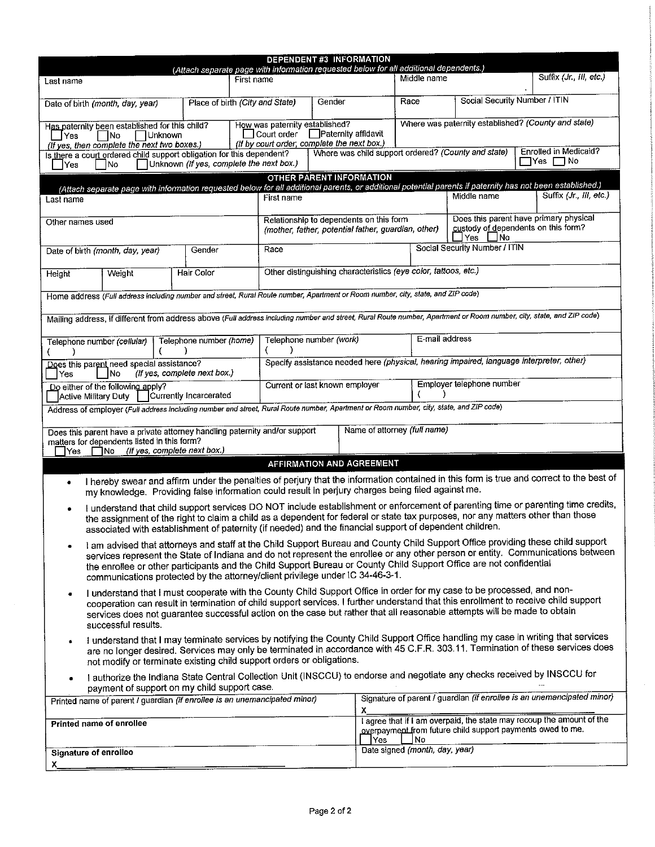|                                                                                                                                                                                                                                                                                                                                                                                                                                                                            |                                                                         | (Attach separate page with information requested below for all additional dependents.)                                           |                                                 | <b>DEPENDENT #3 INFORMATION</b>                                                                                                                                                 |                                |                                           |                                                                                                                                                                                       |  |  |
|----------------------------------------------------------------------------------------------------------------------------------------------------------------------------------------------------------------------------------------------------------------------------------------------------------------------------------------------------------------------------------------------------------------------------------------------------------------------------|-------------------------------------------------------------------------|----------------------------------------------------------------------------------------------------------------------------------|-------------------------------------------------|---------------------------------------------------------------------------------------------------------------------------------------------------------------------------------|--------------------------------|-------------------------------------------|---------------------------------------------------------------------------------------------------------------------------------------------------------------------------------------|--|--|
| Last name                                                                                                                                                                                                                                                                                                                                                                                                                                                                  |                                                                         |                                                                                                                                  | First name                                      |                                                                                                                                                                                 | Middle name                    |                                           | Suffix (Jr., III, etc.)                                                                                                                                                               |  |  |
| Date of birth (month, day, year)                                                                                                                                                                                                                                                                                                                                                                                                                                           |                                                                         | Place of birth (City and State)                                                                                                  |                                                 | Gender                                                                                                                                                                          | Race                           |                                           | Social Security Number / ITIN                                                                                                                                                         |  |  |
| Yes                                                                                                                                                                                                                                                                                                                                                                                                                                                                        | Has paternity been established for this child?<br>$\Box$ No<br> Unknown |                                                                                                                                  | How was paternity established?<br>  Court order | <b>□ Paternity affidavit</b><br>(If by court order, complete the next box.)                                                                                                     |                                |                                           | Where was paternity established? (County and state)                                                                                                                                   |  |  |
| <b>Yes</b>                                                                                                                                                                                                                                                                                                                                                                                                                                                                 | (If yes, then complete the next two boxes.)<br> No                      | Is there a court ordered child support obligation for this dependent?<br>Unknown (If yes, complete the next box.)                |                                                 | Where was child support ordered? (County and state)                                                                                                                             |                                |                                           | Enrolled in Medicaid?<br>$\Box$ Yes $\Box$ No                                                                                                                                         |  |  |
| Last name                                                                                                                                                                                                                                                                                                                                                                                                                                                                  |                                                                         |                                                                                                                                  | First name                                      | <b>OTHER PARENT INFORMATION</b>                                                                                                                                                 |                                | Middle name                               | (Attach separate page with information requested below for all additional parents, or additional potential parents if paternity has not been established.)<br>Suffix (Jr., III, etc.) |  |  |
| Other names used                                                                                                                                                                                                                                                                                                                                                                                                                                                           |                                                                         |                                                                                                                                  |                                                 | Does this parent have primary physical<br>Relationship to dependents on this form<br>custody of dependents on this form?<br>(mother, father, potential father, guardian, other) |                                |                                           |                                                                                                                                                                                       |  |  |
| Date of birth (month, day, year)                                                                                                                                                                                                                                                                                                                                                                                                                                           |                                                                         | Gender                                                                                                                           | Race                                            |                                                                                                                                                                                 |                                | ∐Yes ∐No<br>Social Security Number / ITIN |                                                                                                                                                                                       |  |  |
| <b>Height</b>                                                                                                                                                                                                                                                                                                                                                                                                                                                              | Weight                                                                  | <b>Hair Color</b>                                                                                                                |                                                 | Other distinguishing characteristics (eye color, tattoos, etc.)                                                                                                                 |                                |                                           |                                                                                                                                                                                       |  |  |
|                                                                                                                                                                                                                                                                                                                                                                                                                                                                            |                                                                         | Home address (Full address including number and street, Rural Route number, Apartment or Room number, city, state, and ZIP code) |                                                 |                                                                                                                                                                                 |                                |                                           |                                                                                                                                                                                       |  |  |
|                                                                                                                                                                                                                                                                                                                                                                                                                                                                            |                                                                         |                                                                                                                                  |                                                 |                                                                                                                                                                                 |                                |                                           | Mailing address, if different from address above (Full address including number and street, Rural Route number, Apartment or Room number, city, state, and ZIP code)                  |  |  |
| Telephone number (cellular)                                                                                                                                                                                                                                                                                                                                                                                                                                                |                                                                         | Telephone number (home)                                                                                                          | €<br>)                                          | Telephone number (work)                                                                                                                                                         | E-mail address                 |                                           |                                                                                                                                                                                       |  |  |
| Yes                                                                                                                                                                                                                                                                                                                                                                                                                                                                        | Does this parent need special assistance?<br>INo                        | (If yes, complete next box.)                                                                                                     |                                                 | Specify assistance needed here (physical, hearing impaired, language interpreter, other)                                                                                        |                                |                                           |                                                                                                                                                                                       |  |  |
| Employer telephone number<br>Current or last known employer<br>Do either of the following apply?<br>Currently Incarcerated<br>Active Military Duty                                                                                                                                                                                                                                                                                                                         |                                                                         |                                                                                                                                  |                                                 |                                                                                                                                                                                 |                                |                                           |                                                                                                                                                                                       |  |  |
| Address of employer (Full address including number and street, Rural Route number, Apartment or Room number, city, state, and ZIP code)                                                                                                                                                                                                                                                                                                                                    |                                                                         |                                                                                                                                  |                                                 |                                                                                                                                                                                 |                                |                                           |                                                                                                                                                                                       |  |  |
| Name of attorney (full name)<br>Does this parent have a private attorney handling paternity and/or support<br>matters for dependents listed in this form?<br>$\Box$ No (If yes, complete next box.)<br>lYes                                                                                                                                                                                                                                                                |                                                                         |                                                                                                                                  |                                                 |                                                                                                                                                                                 |                                |                                           |                                                                                                                                                                                       |  |  |
|                                                                                                                                                                                                                                                                                                                                                                                                                                                                            |                                                                         |                                                                                                                                  |                                                 | AFFIRMATION AND AGREEMENT                                                                                                                                                       |                                |                                           |                                                                                                                                                                                       |  |  |
| I hereby swear and affirm under the penalties of perjury that the information contained in this form is true and correct to the best of<br>٠<br>my knowledge. Providing false information could result in perjury charges being filed against me.                                                                                                                                                                                                                          |                                                                         |                                                                                                                                  |                                                 |                                                                                                                                                                                 |                                |                                           |                                                                                                                                                                                       |  |  |
| I understand that child support services DO NOT include establishment or enforcement of parenting time or parenting time credits,<br>the assignment of the right to claim a child as a dependent for federal or state tax purposes, nor any matters other than those<br>associated with establishment of paternity (if needed) and the financial support of dependent children.                                                                                            |                                                                         |                                                                                                                                  |                                                 |                                                                                                                                                                                 |                                |                                           |                                                                                                                                                                                       |  |  |
| I am advised that attorneys and staff at the Child Support Bureau and County Child Support Office providing these child support<br>services represent the State of Indiana and do not represent the enrollee or any other person or entity. Communications between<br>the enrollee or other participants and the Child Support Bureau or County Child Support Office are not confidential<br>communications protected by the attorney/client privilege under IC 34-46-3-1. |                                                                         |                                                                                                                                  |                                                 |                                                                                                                                                                                 |                                |                                           |                                                                                                                                                                                       |  |  |
| I understand that I must cooperate with the County Child Support Office in order for my case to be processed, and non-<br>٠<br>cooperation can result in termination of child support services. I further understand that this enrollment to receive child support<br>services does not guarantee successful action on the case but rather that all reasonable attempts will be made to obtain<br>successful results.                                                      |                                                                         |                                                                                                                                  |                                                 |                                                                                                                                                                                 |                                |                                           |                                                                                                                                                                                       |  |  |
| I understand that I may terminate services by notifying the County Child Support Office handling my case in writing that services<br>are no longer desired. Services may only be terminated in accordance with 45 C.F.R. 303.11. Termination of these services does<br>not modify or terminate existing child support orders or obligations.                                                                                                                               |                                                                         |                                                                                                                                  |                                                 |                                                                                                                                                                                 |                                |                                           |                                                                                                                                                                                       |  |  |
|                                                                                                                                                                                                                                                                                                                                                                                                                                                                            |                                                                         | payment of support on my child support case.                                                                                     |                                                 |                                                                                                                                                                                 |                                |                                           | I authorize the Indiana State Central Collection Unit (INSCCU) to endorse and negotiate any checks received by INSCCU for                                                             |  |  |
|                                                                                                                                                                                                                                                                                                                                                                                                                                                                            |                                                                         | Printed name of parent / guardian (if enrollee is an unemancipated minor)                                                        |                                                 | X.                                                                                                                                                                              |                                |                                           | Signature of parent / guardian (if enrollee is an unemancipated minor)                                                                                                                |  |  |
| Printed name of enrollee                                                                                                                                                                                                                                                                                                                                                                                                                                                   |                                                                         |                                                                                                                                  |                                                 | lYes.                                                                                                                                                                           | l No                           |                                           | I agree that if I am overpaid, the state may recoup the amount of the<br>overpayment from future child support payments owed to me.                                                   |  |  |
| <b>Signature of enrollee</b><br>X.                                                                                                                                                                                                                                                                                                                                                                                                                                         |                                                                         |                                                                                                                                  |                                                 |                                                                                                                                                                                 | Date signed (month, day, year) |                                           |                                                                                                                                                                                       |  |  |
|                                                                                                                                                                                                                                                                                                                                                                                                                                                                            |                                                                         |                                                                                                                                  |                                                 |                                                                                                                                                                                 |                                |                                           |                                                                                                                                                                                       |  |  |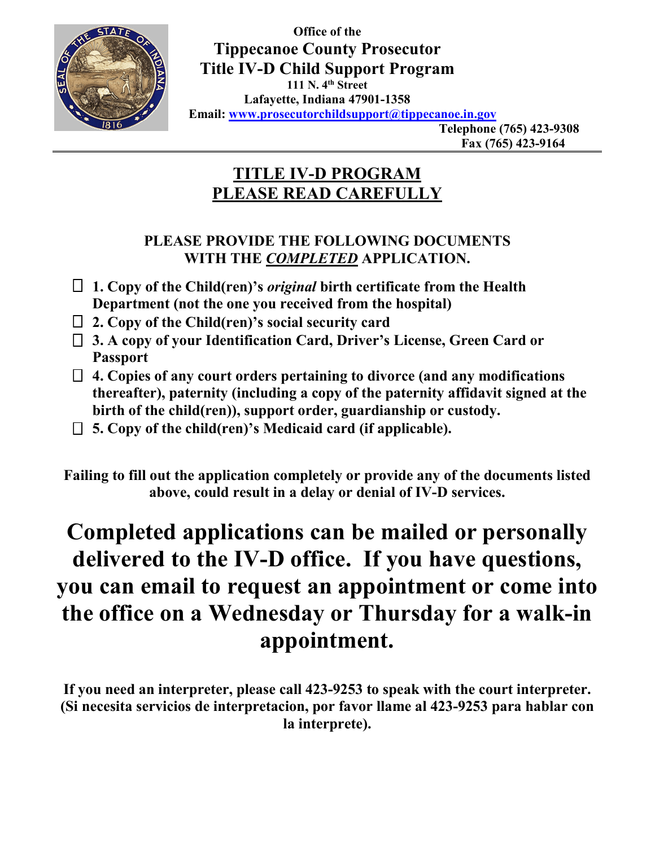

**Office of the Tippecanoe County Prosecutor Title IV-D Child Support Program 111 N. 4th Street Lafayette, Indiana 47901-1358 Email: www.prosecutorchildsupport@tippecanoe.in.gov** 

**Telephone (765) 423-9308 Fax (765) 423-9164** 

# **TITLE IV-D PROGRAM PLEASE READ CAREFULLY**

## **PLEASE PROVIDE THE FOLLOWING DOCUMENTS WITH THE** *COMPLETED* **APPLICATION.**

- **1. Copy of the Child(ren)'s** *original* **birth certificate from the Health Department (not the one you received from the hospital)**
- **2. Copy of the Child(ren)'s social security card**
- **3. A copy of your Identification Card, Driver's License, Green Card or Passport**
- **4. Copies of any court orders pertaining to divorce (and any modifications thereafter), paternity (including a copy of the paternity affidavit signed at the birth of the child(ren)), support order, guardianship or custody.**
- **5. Copy of the child(ren)'s Medicaid card (if applicable).**

**Failing to fill out the application completely or provide any of the documents listed above, could result in a delay or denial of IV-D services.** 

# **Completed applications can be mailed or personally delivered to the IV-D office. If you have questions, you can email to request an appointment or come into the office on a Wednesday or Thursday for a walk-in appointment.**

**If you need an interpreter, please call 423-9253 to speak with the court interpreter. (Si necesita servicios de interpretacion, por favor llame al 423-9253 para hablar con la interprete).**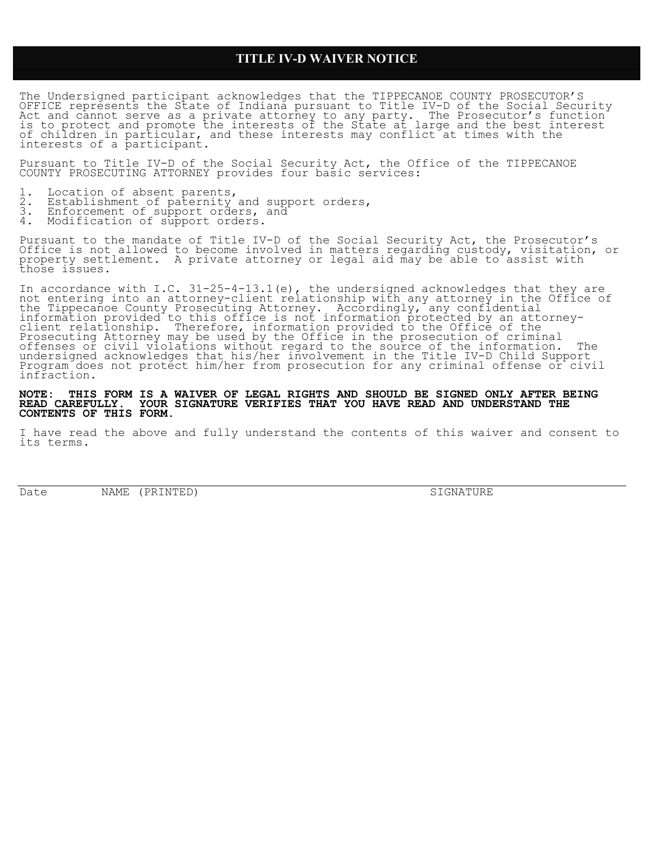### **TITLE IV-D WAIVER NOTICE**

The Undersigned participant acknowledges that the TIPPECANOE COUNTY PROSECUTOR'S OFFICE represents the State of Indiana pursuant to Title IV-D of the Social Security Act and cannot serve as a private attorney to any party. The Prosecutor's function is to protect and promote the interests of the State at large and the best interest of children in particular, and these interests may conflict at times with the interests of a participant.

Pursuant to Title IV-D of the Social Security Act, the Office of the TIPPECANOE COUNTY PROSECUTING ATTORNEY provides four basic services:

- 1. Location of absent parents,
- 2. Establishment of paternity and support orders,
- 3. Enforcement of support orders, and 3. Enforcement of support orders,<br>4. Modification of support orders.
- 

Pursuant to the mandate of Title IV-D of the Social Security Act, the Prosecutor's Office is not allowed to become involved in matters regarding custody, visitation, or property settlement. A private attorney or legal aid may be able to assist with those issues.

In accordance with I.C. 31-25-4-13.1(e), the undersigned acknowledges that they are not entering into an attorney-client relationship with any attorney in the Office of the Tippecanoe County Prosecuting Attorney. Accordingly, any confidential information provided to this office is not information protected by an attorneyclient relationship. Therefore, information provided to the Office of the Prosecuting Attorney may be used by the Office in the prosecution of criminal offenses or civil violations without regard to the source of the information. The undersigned acknowledges that his/her involvement in the Title IV-D Child Support Program does not protect him/her from prosecution for any criminal offense or civil infraction.

**NOTE: THIS FORM IS A WAIVER OF LEGAL RIGHTS AND SHOULD BE SIGNED ONLY AFTER BEING READ CAREFULLY. YOUR SIGNATURE VERIFIES THAT YOU HAVE READ AND UNDERSTAND THE CONTENTS OF THIS FORM.**

I have read the above and fully understand the contents of this waiver and consent to its terms.

Date NAME (PRINTED) SIGNATURE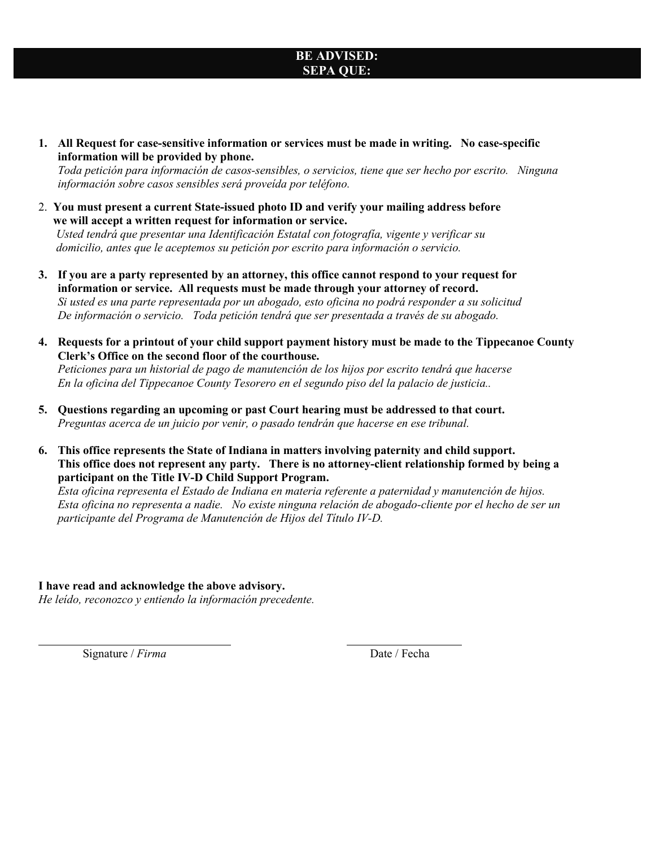## **BE ADVISED: SEPA QUE:**

**1. All Request for case-sensitive information or services must be made in writing. No case-specific information will be provided by phone.** 

*Toda petición para información de casos-sensibles, o servicios, tiene que ser hecho por escrito. Ninguna información sobre casos sensibles será proveída por teléfono.* 

2. **You must present a current State-issued photo ID and verify your mailing address before we will accept a written request for information or service.**

 *Usted tendrá que presentar una Identificación Estatal con fotografía, vigente y verificar su domicilio, antes que le aceptemos su petición por escrito para información o servicio.* 

- **3. If you are a party represented by an attorney, this office cannot respond to your request for information or service. All requests must be made through your attorney of record.**  *Si usted es una parte representada por un abogado, esto oficina no podrá responder a su solicitud De información o servicio. Toda petición tendrá que ser presentada a través de su abogado.*
- **4. Requests for a printout of your child support payment history must be made to the Tippecanoe County Clerk's Office on the second floor of the courthouse.**

*Peticiones para un historial de pago de manutención de los hijos por escrito tendrá que hacerse En la oficina del Tippecanoe County Tesorero en el segundo piso del la palacio de justicia..* 

- **5. Questions regarding an upcoming or past Court hearing must be addressed to that court.**  *Preguntas acerca de un juicio por venir, o pasado tendrán que hacerse en ese tribunal.*
- **6. This office represents the State of Indiana in matters involving paternity and child support. This office does not represent any party. There is no attorney-client relationship formed by being a participant on the Title IV-D Child Support Program.**

*Esta oficina representa el Estado de Indiana en materia referente a paternidad y manutención de hijos. Esta oficina no representa a nadie. No existe ninguna relación de abogado-cliente por el hecho de ser un participante del Programa de Manutención de Hijos del Título IV-D.* 

### **I have read and acknowledge the above advisory.**

*He leído, reconozco y entiendo la información precedente.* 

Signature / *Firma* Date / Fecha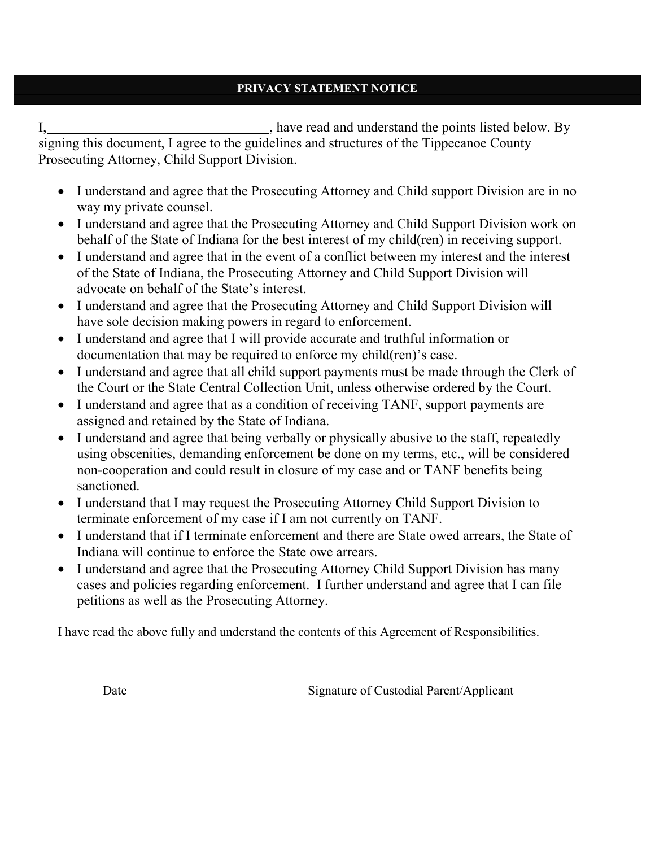## **PRIVACY STATEMENT NOTICE**

I, have read and understand the points listed below. By signing this document, I agree to the guidelines and structures of the Tippecanoe County Prosecuting Attorney, Child Support Division.

- I understand and agree that the Prosecuting Attorney and Child support Division are in no way my private counsel.
- I understand and agree that the Prosecuting Attorney and Child Support Division work on behalf of the State of Indiana for the best interest of my child(ren) in receiving support.
- I understand and agree that in the event of a conflict between my interest and the interest of the State of Indiana, the Prosecuting Attorney and Child Support Division will advocate on behalf of the State's interest.
- I understand and agree that the Prosecuting Attorney and Child Support Division will have sole decision making powers in regard to enforcement.
- I understand and agree that I will provide accurate and truthful information or documentation that may be required to enforce my child(ren)'s case.
- I understand and agree that all child support payments must be made through the Clerk of the Court or the State Central Collection Unit, unless otherwise ordered by the Court.
- I understand and agree that as a condition of receiving TANF, support payments are assigned and retained by the State of Indiana.
- I understand and agree that being verbally or physically abusive to the staff, repeatedly using obscenities, demanding enforcement be done on my terms, etc., will be considered non-cooperation and could result in closure of my case and or TANF benefits being sanctioned.
- I understand that I may request the Prosecuting Attorney Child Support Division to terminate enforcement of my case if I am not currently on TANF.
- I understand that if I terminate enforcement and there are State owed arrears, the State of Indiana will continue to enforce the State owe arrears.
- I understand and agree that the Prosecuting Attorney Child Support Division has many cases and policies regarding enforcement. I further understand and agree that I can file petitions as well as the Prosecuting Attorney.

I have read the above fully and understand the contents of this Agreement of Responsibilities.

 $\overline{a}$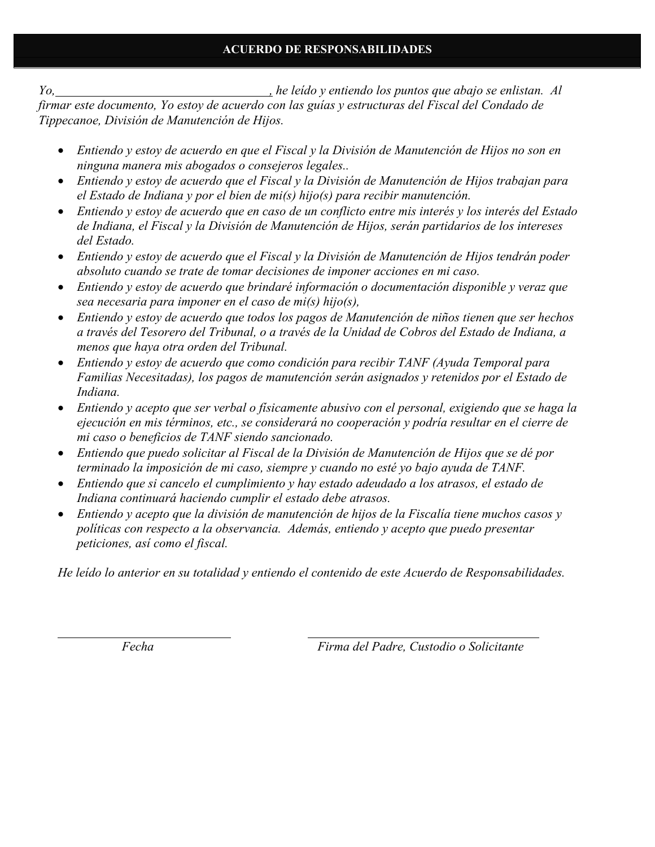*Yo, , he leído y entiendo los puntos que abajo se enlistan. Al firmar este documento, Yo estoy de acuerdo con las guías y estructuras del Fiscal del Condado de Tippecanoe, División de Manutención de Hijos.* 

- *Entiendo y estoy de acuerdo en que el Fiscal y la División de Manutención de Hijos no son en ninguna manera mis abogados o consejeros legales..*
- *Entiendo y estoy de acuerdo que el Fiscal y la División de Manutención de Hijos trabajan para el Estado de Indiana y por el bien de mi(s) hijo(s) para recibir manutención.*
- *Entiendo y estoy de acuerdo que en caso de un conflicto entre mis interés y los interés del Estado de Indiana, el Fiscal y la División de Manutención de Hijos, serán partidarios de los intereses del Estado.*
- *Entiendo y estoy de acuerdo que el Fiscal y la División de Manutención de Hijos tendrán poder absoluto cuando se trate de tomar decisiones de imponer acciones en mi caso.*
- *Entiendo y estoy de acuerdo que brindaré información o documentación disponible y veraz que sea necesaria para imponer en el caso de mi(s) hijo(s),*
- *Entiendo y estoy de acuerdo que todos los pagos de Manutención de niños tienen que ser hechos a través del Tesorero del Tribunal, o a través de la Unidad de Cobros del Estado de Indiana, a menos que haya otra orden del Tribunal.*
- *Entiendo y estoy de acuerdo que como condición para recibir TANF (Ayuda Temporal para Familias Necesitadas), los pagos de manutención serán asignados y retenidos por el Estado de Indiana.*
- *Entiendo y acepto que ser verbal o físicamente abusivo con el personal, exigiendo que se haga la ejecución en mis términos, etc., se considerará no cooperación y podría resultar en el cierre de mi caso o beneficios de TANF siendo sancionado.*
- *Entiendo que puedo solicitar al Fiscal de la División de Manutención de Hijos que se dé por terminado la imposición de mi caso, siempre y cuando no esté yo bajo ayuda de TANF.*
- *Entiendo que si cancelo el cumplimiento y hay estado adeudado a los atrasos, el estado de Indiana continuará haciendo cumplir el estado debe atrasos.*
- *Entiendo y acepto que la división de manutención de hijos de la Fiscalía tiene muchos casos y políticas con respecto a la observancia. Además, entiendo y acepto que puedo presentar peticiones, así como el fiscal.*

*He leído lo anterior en su totalidad y entiendo el contenido de este Acuerdo de Responsabilidades.* 

 *Fecha Firma del Padre, Custodio o Solicitante*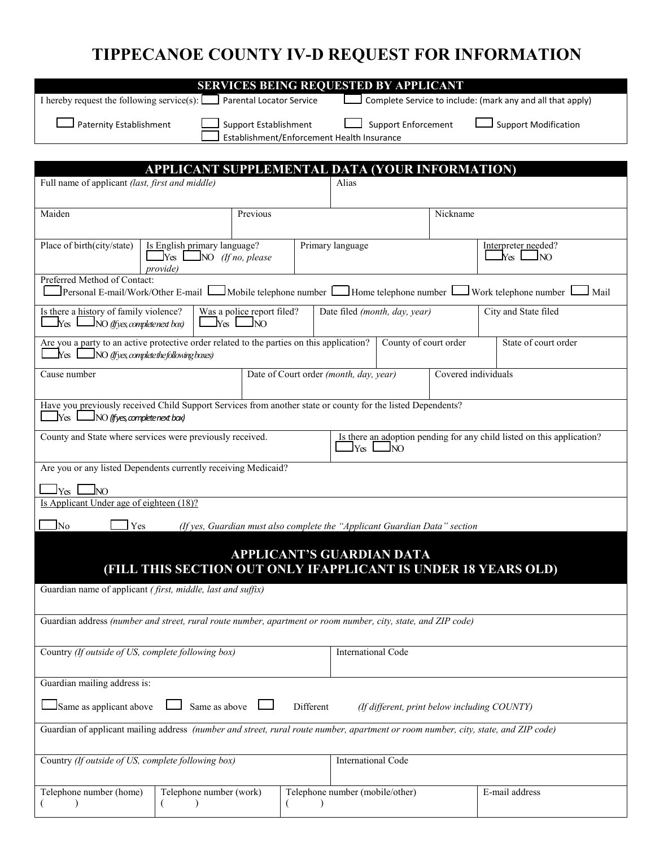# **TIPPECANOE COUNTY IV-D REQUEST FOR INFORMATION**

|                                                                                                                                                                           |                                                         | <b>SERVICES BEING REQUESTED BY APPLICANT</b>                       |                                            |                               |                     |                                                                |  |
|---------------------------------------------------------------------------------------------------------------------------------------------------------------------------|---------------------------------------------------------|--------------------------------------------------------------------|--------------------------------------------|-------------------------------|---------------------|----------------------------------------------------------------|--|
| I hereby request the following service(s): $\Box$                                                                                                                         |                                                         | <b>Parental Locator Service</b>                                    |                                            |                               |                     | Complete Service to include: (mark any and all that apply)     |  |
|                                                                                                                                                                           | <b>Paternity Establishment</b><br>Support Establishment |                                                                    | Establishment/Enforcement Health Insurance | Support Enforcement           |                     | <b>Support Modification</b>                                    |  |
|                                                                                                                                                                           |                                                         |                                                                    |                                            |                               |                     |                                                                |  |
|                                                                                                                                                                           | APPLICANT SUPPLEMENTAL DATA (YOUR INFORMATION)          |                                                                    |                                            |                               |                     |                                                                |  |
| Full name of applicant (last, first and middle)                                                                                                                           |                                                         |                                                                    | Alias                                      |                               |                     |                                                                |  |
| Maiden                                                                                                                                                                    | Previous                                                |                                                                    |                                            |                               | Nickname            |                                                                |  |
| Place of birth(city/state)<br>Is English primary language?<br><i>provide</i> )                                                                                            | Primary language                                        | Interpreter needed?<br>ly <sub>es</sub> l<br>NO.                   |                                            |                               |                     |                                                                |  |
| Preferred Method of Contact:<br>Personal E-mail/Work/Other E-mail L                                                                                                       |                                                         | $\Box$ Mobile telephone number $\Box$ Home telephone number $\Box$ |                                            |                               |                     | $\Box$ Work telephone number $\Box$<br>Mail                    |  |
| Is there a history of family violence?<br>$\Box$ Yes $\Box$ NO (If yes, complete next box)                                                                                |                                                         | Was a police report filed?<br>$\ln$ $\ln$                          |                                            | Date filed (month, day, year) |                     | City and State filed                                           |  |
| Are you a party to an active protective order related to the parties on this application?<br>$N$ es $\Box$ NO (If yes, complete the following boxes)                      |                                                         |                                                                    |                                            | County of court order         |                     | State of court order                                           |  |
| Cause number                                                                                                                                                              |                                                         |                                                                    | Date of Court order (month, day, year)     |                               | Covered individuals |                                                                |  |
| Have you previously received Child Support Services from another state or county for the listed Dependents?<br>ly <sub>es</sub> l<br>$\Box$ NO (ifyes, complete next box) |                                                         |                                                                    |                                            |                               |                     |                                                                |  |
| Is there an adoption pending for any child listed on this application?<br>County and State where services were previously received.<br><b>Yes</b><br><b>NO</b>            |                                                         |                                                                    |                                            |                               |                     |                                                                |  |
| Are you or any listed Dependents currently receiving Medicaid?                                                                                                            |                                                         |                                                                    |                                            |                               |                     |                                                                |  |
| INO<br>Yes                                                                                                                                                                |                                                         |                                                                    |                                            |                               |                     |                                                                |  |
| Is Applicant Under age of eighteen (18)?                                                                                                                                  |                                                         |                                                                    |                                            |                               |                     |                                                                |  |
| Yes<br>(If yes, Guardian must also complete the "Applicant Guardian Data" section<br>No.                                                                                  |                                                         |                                                                    |                                            |                               |                     |                                                                |  |
|                                                                                                                                                                           |                                                         | APPLICANT'S GUARDIAN DATA                                          |                                            |                               |                     | (FILL THIS SECTION OUT ONLY IFAPPLICANT IS UNDER 18 YEARS OLD) |  |
| Guardian name of applicant (first, middle, last and suffix)                                                                                                               |                                                         |                                                                    |                                            |                               |                     |                                                                |  |
| Guardian address (number and street, rural route number, apartment or room number, city, state, and ZIP code)                                                             |                                                         |                                                                    |                                            |                               |                     |                                                                |  |
| Country (If outside of US, complete following box)                                                                                                                        |                                                         |                                                                    | <b>International Code</b>                  |                               |                     |                                                                |  |
| Guardian mailing address is:                                                                                                                                              |                                                         |                                                                    |                                            |                               |                     |                                                                |  |
| Same as applicant above<br>Same as above<br>Different<br>(If different, print below including COUNTY)                                                                     |                                                         |                                                                    |                                            |                               |                     |                                                                |  |
| Guardian of applicant mailing address (number and street, rural route number, apartment or room number, city, state, and ZIP code)                                        |                                                         |                                                                    |                                            |                               |                     |                                                                |  |
| Country (If outside of US, complete following box)                                                                                                                        |                                                         |                                                                    | <b>International Code</b>                  |                               |                     |                                                                |  |
| Telephone number (home)                                                                                                                                                   | Telephone number (work)                                 |                                                                    | Telephone number (mobile/other)            |                               |                     | E-mail address                                                 |  |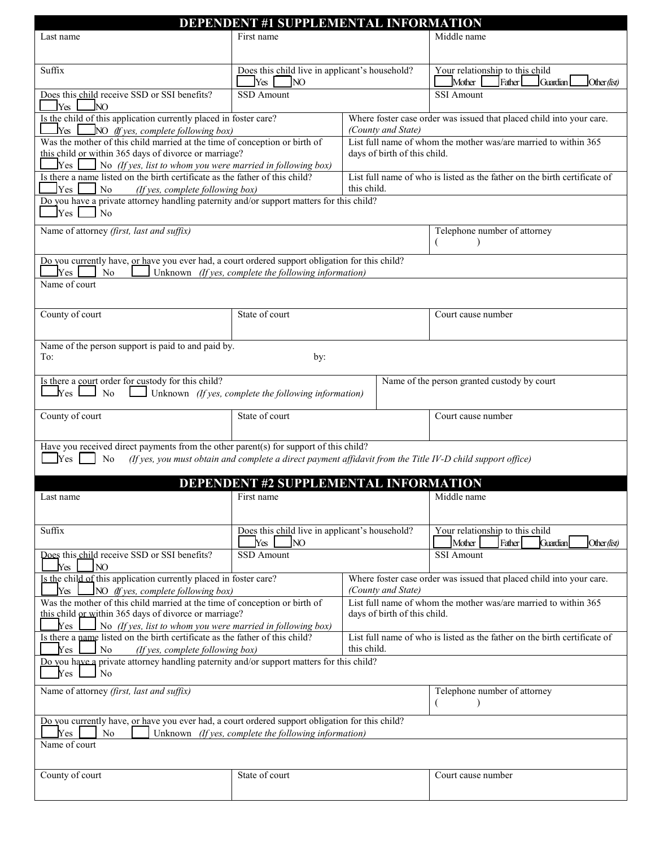|                                                                                                                                                                                                                                                                                  | <b>DEPENDENT #1 SUPPLEMENTAL INFORMATION</b>                  |                                                                                                 |                                                                                     |  |  |  |  |  |
|----------------------------------------------------------------------------------------------------------------------------------------------------------------------------------------------------------------------------------------------------------------------------------|---------------------------------------------------------------|-------------------------------------------------------------------------------------------------|-------------------------------------------------------------------------------------|--|--|--|--|--|
| Last name                                                                                                                                                                                                                                                                        | First name                                                    |                                                                                                 | Middle name                                                                         |  |  |  |  |  |
| Suffix                                                                                                                                                                                                                                                                           | Does this child live in applicant's household?<br>Yes<br>INO. |                                                                                                 | Your relationship to this child<br>Mother<br>Father<br>Guardian<br>Other ( $list$ ) |  |  |  |  |  |
| Does this child receive SSD or SSI benefits?<br>$\gamma$ <sub>es</sub> $\Box$ No                                                                                                                                                                                                 | <b>SSD</b> Amount                                             |                                                                                                 | <b>SSI Amount</b>                                                                   |  |  |  |  |  |
| Is the child of this application currently placed in foster care?<br>$ _{Y_{CS}} $<br>$\Box$ NO (If yes, complete following box)                                                                                                                                                 |                                                               | (County and State)                                                                              | Where foster case order was issued that placed child into your care.                |  |  |  |  |  |
| Was the mother of this child married at the time of conception or birth of<br>this child or within 365 days of divorce or marriage?<br>$\sqrt{\mathrm{Yes}}$ $\parallel$<br>$\Box$ No (If yes, list to whom you were married in following box)                                   |                                                               | List full name of whom the mother was/are married to within 365<br>days of birth of this child. |                                                                                     |  |  |  |  |  |
| Is there a name listed on the birth certificate as the father of this child?<br>Yes<br>$\sqrt{N}$<br>(If yes, complete following box)                                                                                                                                            |                                                               | this child.                                                                                     | List full name of who is listed as the father on the birth certificate of           |  |  |  |  |  |
| Do you have a private attorney handling paternity and/or support matters for this child?<br>Yes<br>$\overline{\phantom{a}}$ No                                                                                                                                                   |                                                               |                                                                                                 |                                                                                     |  |  |  |  |  |
| Name of attorney (first, last and suffix)                                                                                                                                                                                                                                        |                                                               |                                                                                                 | Telephone number of attorney                                                        |  |  |  |  |  |
| Do you currently have, or have you ever had, a court ordered support obligation for this child?<br>$_{\rm Yes}$<br>No                                                                                                                                                            | Unknown (If yes, complete the following information)          |                                                                                                 |                                                                                     |  |  |  |  |  |
| Name of court                                                                                                                                                                                                                                                                    |                                                               |                                                                                                 |                                                                                     |  |  |  |  |  |
| County of court                                                                                                                                                                                                                                                                  | State of court                                                |                                                                                                 | Court cause number                                                                  |  |  |  |  |  |
| Name of the person support is paid to and paid by.<br>To:<br>by:                                                                                                                                                                                                                 |                                                               |                                                                                                 |                                                                                     |  |  |  |  |  |
| Is there a court order for custody for this child?<br>Name of the person granted custody by court<br>$ _{\rm Yes} $<br>N <sub>o</sub><br>Unknown (If yes, complete the following information)                                                                                    |                                                               |                                                                                                 |                                                                                     |  |  |  |  |  |
| County of court                                                                                                                                                                                                                                                                  | State of court<br>Court cause number                          |                                                                                                 |                                                                                     |  |  |  |  |  |
| Have you received direct payments from the other parent(s) for support of this child?<br>Yes<br>(If yes, you must obtain and complete a direct payment affidavit from the Title IV-D child support office)<br>N <sub>o</sub>                                                     |                                                               |                                                                                                 |                                                                                     |  |  |  |  |  |
| <b>DEPENDENT #2 SUPPLEMENTAL INFORMATION</b>                                                                                                                                                                                                                                     |                                                               |                                                                                                 |                                                                                     |  |  |  |  |  |
| Last name                                                                                                                                                                                                                                                                        | First name<br>Middle name                                     |                                                                                                 |                                                                                     |  |  |  |  |  |
| Suffix                                                                                                                                                                                                                                                                           | Does this child live in applicant's household?<br>Yes<br>NO.  |                                                                                                 | Your relationship to this child<br>Mother<br>Father<br>Other (list)<br>Guardian     |  |  |  |  |  |
| Does this child receive SSD or SSI benefits?<br>Yes<br>NO <sub>1</sub>                                                                                                                                                                                                           | SSD Amount                                                    |                                                                                                 | SSI Amount                                                                          |  |  |  |  |  |
| Is the child of this application currently placed in foster care?<br>Yes<br>NO (If yes, complete following box)                                                                                                                                                                  |                                                               | Where foster case order was issued that placed child into your care.<br>(County and State)      |                                                                                     |  |  |  |  |  |
| Was the mother of this child married at the time of conception or birth of<br>List full name of whom the mother was/are married to within 365<br>this child or within 365 days of divorce or marriage?<br>days of birth of this child.                                           |                                                               |                                                                                                 |                                                                                     |  |  |  |  |  |
| No (If yes, list to whom you were married in following box)<br>Yes<br>Is there a name listed on the birth certificate as the father of this child?<br>List full name of who is listed as the father on the birth certificate of<br>Yes<br>No<br>(If yes, complete following box) |                                                               |                                                                                                 |                                                                                     |  |  |  |  |  |
| Do you have a private attorney handling paternity and/or support matters for this child?<br>Yes<br>No                                                                                                                                                                            |                                                               |                                                                                                 |                                                                                     |  |  |  |  |  |
|                                                                                                                                                                                                                                                                                  |                                                               | this child.                                                                                     |                                                                                     |  |  |  |  |  |
| Name of attorney (first, last and suffix)                                                                                                                                                                                                                                        |                                                               |                                                                                                 | Telephone number of attorney<br>(                                                   |  |  |  |  |  |
| Do you currently have, or have you ever had, a court ordered support obligation for this child?                                                                                                                                                                                  |                                                               |                                                                                                 |                                                                                     |  |  |  |  |  |
| Yes<br>No<br>Name of court                                                                                                                                                                                                                                                       | Unknown (If yes, complete the following information)          |                                                                                                 |                                                                                     |  |  |  |  |  |
| County of court                                                                                                                                                                                                                                                                  | State of court                                                |                                                                                                 | Court cause number                                                                  |  |  |  |  |  |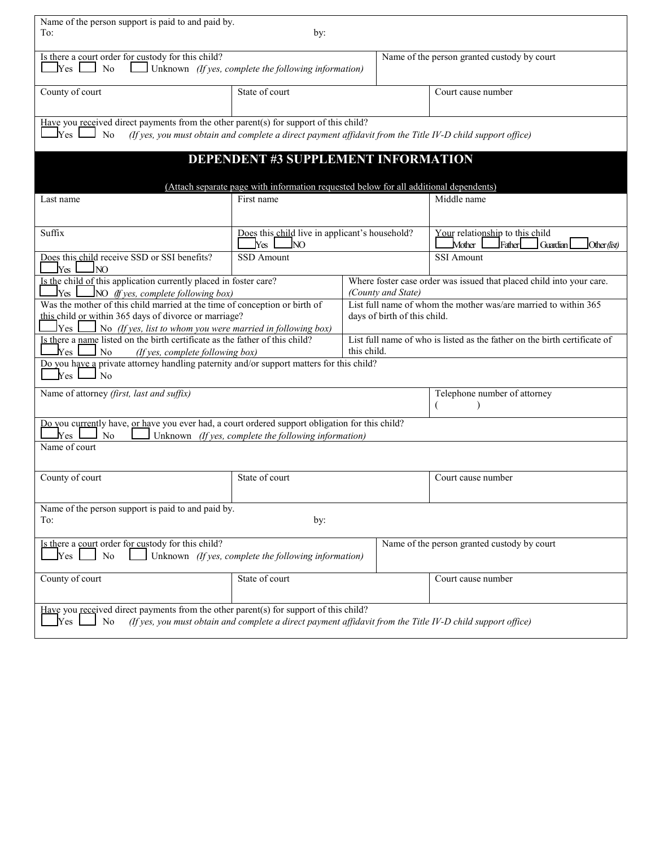| Name of the person support is paid to and paid by.<br>To:<br>by:                                                                                                                                                                        |                                                                                                            |                                                                                                 |                                                                                 |  |  |  |  |
|-----------------------------------------------------------------------------------------------------------------------------------------------------------------------------------------------------------------------------------------|------------------------------------------------------------------------------------------------------------|-------------------------------------------------------------------------------------------------|---------------------------------------------------------------------------------|--|--|--|--|
| Is there a court order for custody for this child?<br>Name of the person granted custody by court<br>$\rm Yes$<br>N <sub>o</sub><br>Unknown (If yes, complete the following information)                                                |                                                                                                            |                                                                                                 |                                                                                 |  |  |  |  |
| County of court                                                                                                                                                                                                                         | State of court                                                                                             |                                                                                                 | Court cause number                                                              |  |  |  |  |
| Have you received direct payments from the other parent(s) for support of this child?<br>$\mathbf{\Delta y_{es}}$  <br>No<br>(If yes, you must obtain and complete a direct payment affidavit from the Title IV-D child support office) |                                                                                                            |                                                                                                 |                                                                                 |  |  |  |  |
|                                                                                                                                                                                                                                         | <b>DEPENDENT #3 SUPPLEMENT INFORMATION</b>                                                                 |                                                                                                 |                                                                                 |  |  |  |  |
|                                                                                                                                                                                                                                         | (Attach separate page with information requested below for all additional dependents)                      |                                                                                                 |                                                                                 |  |  |  |  |
| Last name                                                                                                                                                                                                                               | First name                                                                                                 |                                                                                                 | Middle name                                                                     |  |  |  |  |
| Suffix                                                                                                                                                                                                                                  | Does this child live in applicant's household?<br>Yes<br>NO.                                               |                                                                                                 | Your relationship to this child<br>Mother<br>Father<br>Guardian<br>Other (list) |  |  |  |  |
| Does this child receive SSD or SSI benefits?<br>Yes<br><b>JNO</b>                                                                                                                                                                       | <b>SSD</b> Amount                                                                                          |                                                                                                 | <b>SSI</b> Amount                                                               |  |  |  |  |
| Is the child of this application currently placed in foster care?<br>Yes<br>$\Box$ NO (If yes, complete following box)                                                                                                                  |                                                                                                            | Where foster case order was issued that placed child into your care.<br>(County and State)      |                                                                                 |  |  |  |  |
| Was the mother of this child married at the time of conception or birth of<br>this child or within 365 days of divorce or marriage?<br>Yes<br>No (If yes, list to whom you were married in following box)                               |                                                                                                            | List full name of whom the mother was/are married to within 365<br>days of birth of this child. |                                                                                 |  |  |  |  |
| Is there a name listed on the birth certificate as the father of this child?<br>$\rm Yes$ $\,$<br>N <sub>o</sub><br>(If yes, complete following box)                                                                                    |                                                                                                            | this child.                                                                                     | List full name of who is listed as the father on the birth certificate of       |  |  |  |  |
| Do you have a private attorney handling paternity and/or support matters for this child?<br>J No<br>Yes                                                                                                                                 |                                                                                                            |                                                                                                 |                                                                                 |  |  |  |  |
| Name of attorney (first, last and suffix)                                                                                                                                                                                               |                                                                                                            |                                                                                                 | Telephone number of attorney                                                    |  |  |  |  |
| Do you currently have, or have you ever had, a court ordered support obligation for this child?<br>Yes<br>No                                                                                                                            | Unknown (If yes, complete the following information)                                                       |                                                                                                 |                                                                                 |  |  |  |  |
| Name of court                                                                                                                                                                                                                           |                                                                                                            |                                                                                                 |                                                                                 |  |  |  |  |
| County of court                                                                                                                                                                                                                         | State of court                                                                                             |                                                                                                 | Court cause number                                                              |  |  |  |  |
| Name of the person support is paid to and paid by.<br>To:<br>by:                                                                                                                                                                        |                                                                                                            |                                                                                                 |                                                                                 |  |  |  |  |
| Is there a court order for custody for this child?<br>Name of the person granted custody by court<br>Yes<br>Unknown (If yes, complete the following information)<br>No                                                                  |                                                                                                            |                                                                                                 |                                                                                 |  |  |  |  |
| County of court                                                                                                                                                                                                                         | State of court                                                                                             |                                                                                                 | Court cause number                                                              |  |  |  |  |
| Have you received direct payments from the other parent(s) for support of this child?<br>Yes<br>No                                                                                                                                      | (If yes, you must obtain and complete a direct payment affidavit from the Title IV-D child support office) |                                                                                                 |                                                                                 |  |  |  |  |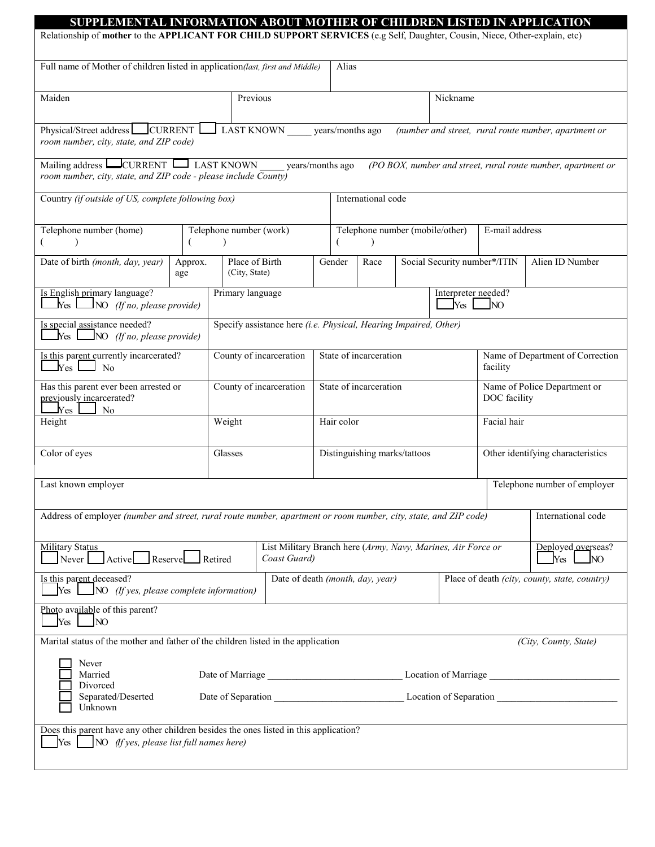| SUPPLEMENTAL INFORMATION ABOUT MOTHER OF CHILDREN LISTED IN APPLICATION<br>Relationship of mother to the APPLICANT FOR CHILD SUPPORT SERVICES (e.g Self, Daughter, Cousin, Niece, Other-explain, etc) |                                                              |                                                                  |                    |                                                                                   |        |                                                                                                                  |                                              |                              |                                              |                                                      |  |
|-------------------------------------------------------------------------------------------------------------------------------------------------------------------------------------------------------|--------------------------------------------------------------|------------------------------------------------------------------|--------------------|-----------------------------------------------------------------------------------|--------|------------------------------------------------------------------------------------------------------------------|----------------------------------------------|------------------------------|----------------------------------------------|------------------------------------------------------|--|
| Full name of Mother of children listed in application(last, first and Middle)                                                                                                                         |                                                              |                                                                  |                    |                                                                                   |        | Alias                                                                                                            |                                              |                              |                                              |                                                      |  |
| Maiden                                                                                                                                                                                                |                                                              |                                                                  | Previous           |                                                                                   |        |                                                                                                                  |                                              | Nickname                     |                                              |                                                      |  |
| Physical/Street address CURRENT<br>$\Box$ LAST KNOWN years/months ago<br>room number, city, state, and ZIP code)                                                                                      |                                                              |                                                                  |                    |                                                                                   |        |                                                                                                                  |                                              |                              |                                              | (number and street, rural route number, apartment or |  |
| Mailing address $\Box$ CURRENT $\Box$ LAST KNOWN<br>years/months ago<br>room number, city, state, and ZIP code - please include County)                                                               |                                                              |                                                                  |                    |                                                                                   |        | (PO BOX, number and street, rural route number, apartment or                                                     |                                              |                              |                                              |                                                      |  |
| Country (if outside of US, complete following box)                                                                                                                                                    |                                                              |                                                                  |                    | International code                                                                |        |                                                                                                                  |                                              |                              |                                              |                                                      |  |
| Telephone number (home)                                                                                                                                                                               |                                                              | Telephone number (work)                                          |                    |                                                                                   |        | Telephone number (mobile/other)                                                                                  |                                              |                              |                                              | E-mail address                                       |  |
| Date of birth (month, day, year)                                                                                                                                                                      | Approx.<br>age                                               | Place of Birth<br>(City, State)                                  |                    |                                                                                   | Gender | Race                                                                                                             |                                              | Social Security number*/ITIN |                                              | Alien ID Number                                      |  |
| Is English primary language?<br>$\Box$ NO (If no, please provide)<br>$Yes$                                                                                                                            |                                                              |                                                                  | Primary language   |                                                                                   |        |                                                                                                                  |                                              | Interpreter needed?<br>Yes   | N <sub>O</sub>                               |                                                      |  |
| Is special assistance needed?<br>$Yes \perp$<br>$\Box$ NO (If no, please provide)                                                                                                                     |                                                              | Specify assistance here (i.e. Physical, Hearing Impaired, Other) |                    |                                                                                   |        |                                                                                                                  |                                              |                              |                                              |                                                      |  |
| Is this parent currently incarcerated?<br>County of incarceration<br>Yes<br>1 No                                                                                                                      |                                                              |                                                                  |                    | State of incarceration                                                            |        |                                                                                                                  | Name of Department of Correction<br>facility |                              |                                              |                                                      |  |
| Has this parent ever been arrested or<br>previously incarcerated?<br>$\rm Yes$<br>N <sub>o</sub>                                                                                                      |                                                              | County of incarceration                                          |                    |                                                                                   |        | State of incarceration                                                                                           |                                              |                              | Name of Police Department or<br>DOC facility |                                                      |  |
| Height                                                                                                                                                                                                |                                                              |                                                                  | Weight             |                                                                                   |        | Hair color                                                                                                       |                                              |                              | Facial hair                                  |                                                      |  |
| Color of eyes                                                                                                                                                                                         |                                                              |                                                                  | Glasses            |                                                                                   |        | Distinguishing marks/tattoos                                                                                     |                                              |                              |                                              | Other identifying characteristics                    |  |
| Last known employer                                                                                                                                                                                   |                                                              |                                                                  |                    |                                                                                   |        |                                                                                                                  | Telephone number of employer                 |                              |                                              |                                                      |  |
|                                                                                                                                                                                                       |                                                              |                                                                  |                    |                                                                                   |        | Address of employer (number and street, rural route number, apartment or room number, city, state, and ZIP code) |                                              |                              |                                              | International code                                   |  |
| Never                                                                                                                                                                                                 | Military Status<br>Active Reserve<br>Coast Guard)<br>Retired |                                                                  |                    |                                                                                   |        | List Military Branch here (Army, Navy, Marines, Air Force or                                                     |                                              |                              |                                              | Deployed overseas?<br>Yes<br>NO.                     |  |
| Is this parent deceased?<br>NO (If yes, please complete information)<br>Yes                                                                                                                           |                                                              |                                                                  |                    | Date of death (month, day, year)<br>Place of death (city, county, state, country) |        |                                                                                                                  |                                              |                              |                                              |                                                      |  |
| Photo available of this parent?<br>Yes<br>N <sub>O</sub>                                                                                                                                              |                                                              |                                                                  |                    |                                                                                   |        |                                                                                                                  |                                              |                              |                                              |                                                      |  |
| Marital status of the mother and father of the children listed in the application<br>(City, County, State)<br>Never                                                                                   |                                                              |                                                                  |                    |                                                                                   |        |                                                                                                                  |                                              |                              |                                              |                                                      |  |
| Married<br>Divorced<br>Separated/Deserted                                                                                                                                                             |                                                              |                                                                  | Date of Separation |                                                                                   |        | Location of Marriage<br>Location of Separation                                                                   |                                              |                              |                                              |                                                      |  |
| Unknown                                                                                                                                                                                               |                                                              |                                                                  |                    |                                                                                   |        |                                                                                                                  |                                              |                              |                                              |                                                      |  |
| Does this parent have any other children besides the ones listed in this application?<br>Yes<br>NO (If yes, please list full names here)                                                              |                                                              |                                                                  |                    |                                                                                   |        |                                                                                                                  |                                              |                              |                                              |                                                      |  |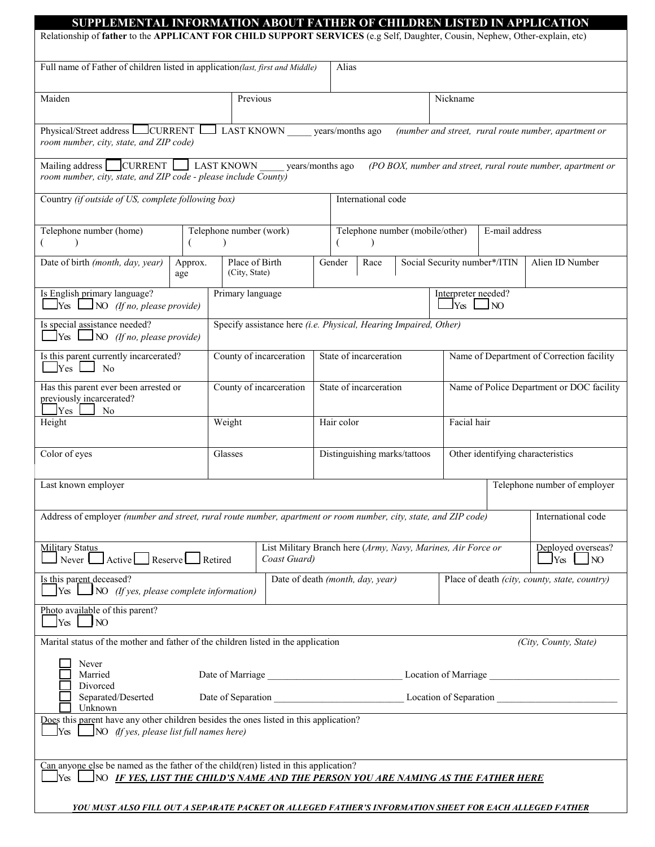#### **SUPPLEMENTAL INFORMATION ABOUT FATHER OF CHILDREN LISTED IN APPLICATION**  Relationship of **father** to the **APPLICANT FOR CHILD SUPPORT SERVICES** (e.g Self, Daughter, Cousin, Nephew, Other-explain, etc) Full name of Father of children listed in application*(last, first and Middle)* Alias Maiden Nickname Revious Previous Previous Nickname Nickname Physical/Street address **CURRENT** LAST KNOWN \_\_\_\_\_ years/months ago *(number and street, rural route number, apartment or room number, city, state, and ZIP code)* Mailing address CURRENT LAST KNOWN years/months ago *(PO BOX, number and street, rural route number, apartment or room number, city, state, and ZIP code - please include County)* Country *(if outside of US, complete following box)* International code Telephone number (home)  $($  ) Telephone number (work)  $($  ) Telephone number (mobile/other) ( ) E-mail address Date of birth *(month, day, year)* Approx. age Place of Birth (City, State) Gender | Race | Social Security number\*/ITIN | Alien ID Number Is English primary language? Yes NO *(If no, please provide)* Primary language Interpreter needed?  $\Box$ Yes  $\Box$ NO Is special assistance needed? Yes NO *(If no, please provide)* Specify assistance here *(i.e. Physical, Hearing Impaired, Other)* Is this parent currently incarcerated?  $\Box$  Yes  $\Box$  No County of incarceration State of incarceration Name of Department of Correction facility Has this parent ever been arrested or previously incarcerated?  $Yes$  No County of incarceration State of incarceration Name of Police Department or DOC facility Height **Hair Color Facial hair** Neight **Hair color** Facial hair Color of eyes Glasses Glasses Glasses Glasses Busing marks/tattoos Other identifying characteristics Last known employer Telephone number of employer Telephone number of employer Address of employer *(number and street, rural route number, apartment or room number, city, state, and ZIP code)* International code Military Status  $\Box$  Never  $\Box$  Active Reserve  $\Box$  Retired List Military Branch here (*Army, Navy, Marines, Air Force or Coast Guard)*  Deployed overseas?  $\vert$  Yes  $\vert$  NO Is this parent deceased? Yes NO *(If yes, please complete information)*  Date of death *(month, day, year)* Place of death *(city, county, state, country)* Photo available of this parent?  $Y$ es  $\Box$ NO Marital status of the mother and father of the children listed in the application *(City, County, State)*  Never Married Date of Marriage Date of Marriage Location of Marriage Divorced Separated/Deserted Date of Separation Location of Separation  $\Box$ Unknown

Does this parent have any other children besides the ones listed in this application? Yes NO *(If yes, please list full names here)* 

Can anyone else be named as the father of the child(ren) listed in this application? Yes NO *IF YES, LIST THE CHILD'S NAME AND THE PERSON YOU ARE NAMING AS THE FATHER HERE* 

*YOU MUST ALSO FILL OUT A SEPARATE PACKET OR ALLEGED FATHER'S INFORMATION SHEET FOR EACH ALLEGED FATHER*